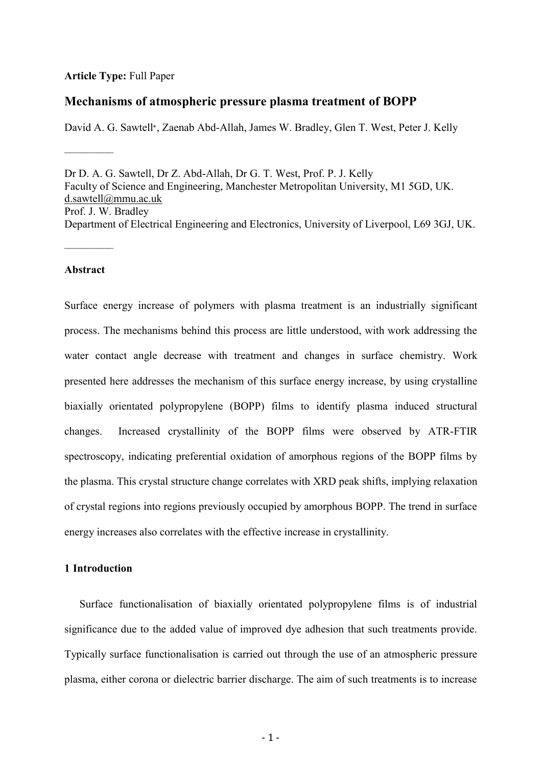#### **Article Type:** Full Paper

### **Mechanisms of atmospheric pressure plasma treatment of BOPP**

David A. G. Sawtell<sup>∗</sup> , Zaenab Abd-Allah, James W. Bradley, Glen T. West, Peter J. Kelly

Dr D. A. G. Sawtell, Dr Z. Abd-Allah, Dr G. T. West, Prof. P. J. Kelly Faculty of Science and Engineering, Manchester Metropolitan University, M1 5GD, UK. [d.sawtell@mmu.ac.uk](mailto:d.sawtell@mmu.ac.uk) Prof. J. W. Bradley Department of Electrical Engineering and Electronics, University of Liverpool, L69 3GJ, UK.

#### **Abstract**

–––––––––

–––––––––

Surface energy increase of polymers with plasma treatment is an industrially significant process. The mechanisms behind this process are little understood, with work addressing the water contact angle decrease with treatment and changes in surface chemistry. Work presented here addresses the mechanism of this surface energy increase, by using crystalline biaxially orientated polypropylene (BOPP) films to identify plasma induced structural changes. Increased crystallinity of the BOPP films were observed by ATR-FTIR spectroscopy, indicating preferential oxidation of amorphous regions of the BOPP films by the plasma. This crystal structure change correlates with XRD peak shifts, implying relaxation of crystal regions into regions previously occupied by amorphous BOPP. The trend in surface energy increases also correlates with the effective increase in crystallinity.

### **1 Introduction**

Surface functionalisation of biaxially orientated polypropylene films is of industrial significance due to the added value of improved dye adhesion that such treatments provide. Typically surface functionalisation is carried out through the use of an atmospheric pressure plasma, either corona or dielectric barrier discharge. The aim of such treatments is to increase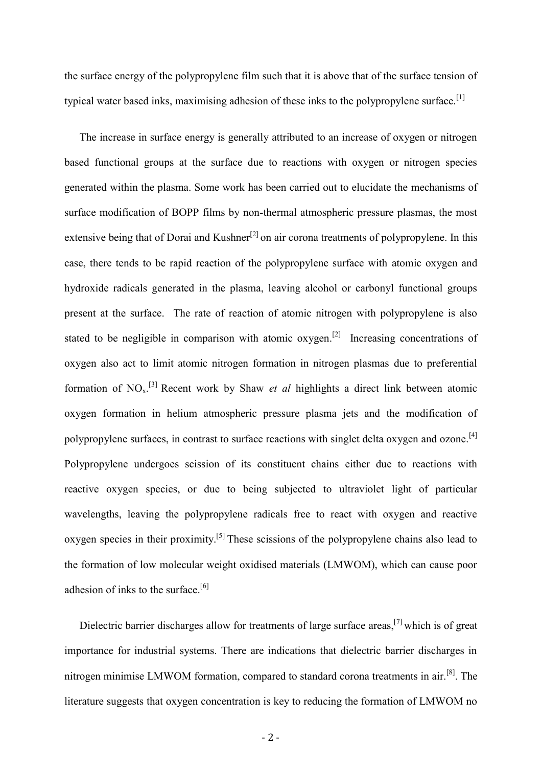the surface energy of the polypropylene film such that it is above that of the surface tension of typical water based inks, maximising adhesion of these inks to the polypropylene surface.<sup>[1]</sup>

The increase in surface energy is generally attributed to an increase of oxygen or nitrogen based functional groups at the surface due to reactions with oxygen or nitrogen species generated within the plasma. Some work has been carried out to elucidate the mechanisms of surface modification of BOPP films by non-thermal atmospheric pressure plasmas, the most extensive being that of Dorai and Kushner<sup>[2]</sup> on air corona treatments of polypropylene. In this case, there tends to be rapid reaction of the polypropylene surface with atomic oxygen and hydroxide radicals generated in the plasma, leaving alcohol or carbonyl functional groups present at the surface. The rate of reaction of atomic nitrogen with polypropylene is also stated to be negligible in comparison with atomic oxygen.<sup>[2]</sup> Increasing concentrations of oxygen also act to limit atomic nitrogen formation in nitrogen plasmas due to preferential formation of  $NO<sub>x</sub>$ .<sup>[3]</sup> Recent work by Shaw *et al* highlights a direct link between atomic oxygen formation in helium atmospheric pressure plasma jets and the modification of polypropylene surfaces, in contrast to surface reactions with singlet delta oxygen and ozone.<sup>[4]</sup> Polypropylene undergoes scission of its constituent chains either due to reactions with reactive oxygen species, or due to being subjected to ultraviolet light of particular wavelengths, leaving the polypropylene radicals free to react with oxygen and reactive oxygen species in their proximity.<sup>[5]</sup> These scissions of the polypropylene chains also lead to the formation of low molecular weight oxidised materials (LMWOM), which can cause poor adhesion of inks to the surface.<sup>[6]</sup>

Dielectric barrier discharges allow for treatments of large surface areas,<sup>[7]</sup> which is of great importance for industrial systems. There are indications that dielectric barrier discharges in nitrogen minimise LMWOM formation, compared to standard corona treatments in air.<sup>[8]</sup>. The literature suggests that oxygen concentration is key to reducing the formation of LMWOM no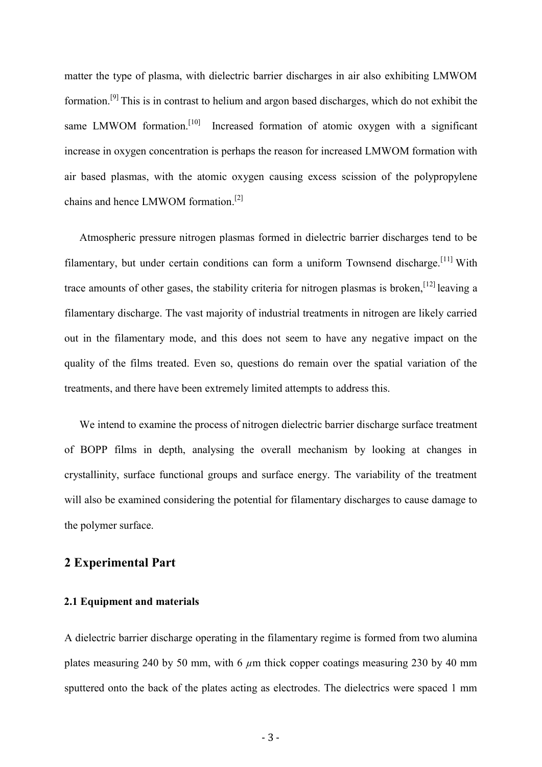matter the type of plasma, with dielectric barrier discharges in air also exhibiting LMWOM formation.[9] This is in contrast to helium and argon based discharges, which do not exhibit the same LMWOM formation.<sup>[10]</sup> Increased formation of atomic oxygen with a significant increase in oxygen concentration is perhaps the reason for increased LMWOM formation with air based plasmas, with the atomic oxygen causing excess scission of the polypropylene chains and hence LMWOM formation.<sup>[2]</sup>

Atmospheric pressure nitrogen plasmas formed in dielectric barrier discharges tend to be filamentary, but under certain conditions can form a uniform Townsend discharge.<sup>[11]</sup> With trace amounts of other gases, the stability criteria for nitrogen plasmas is broken,  $[12]$  leaving a filamentary discharge. The vast majority of industrial treatments in nitrogen are likely carried out in the filamentary mode, and this does not seem to have any negative impact on the quality of the films treated. Even so, questions do remain over the spatial variation of the treatments, and there have been extremely limited attempts to address this.

We intend to examine the process of nitrogen dielectric barrier discharge surface treatment of BOPP films in depth, analysing the overall mechanism by looking at changes in crystallinity, surface functional groups and surface energy. The variability of the treatment will also be examined considering the potential for filamentary discharges to cause damage to the polymer surface.

# **2 Experimental Part**

#### **2.1 Equipment and materials**

A dielectric barrier discharge operating in the filamentary regime is formed from two alumina plates measuring 240 by 50 mm, with 6  $\mu$ m thick copper coatings measuring 230 by 40 mm sputtered onto the back of the plates acting as electrodes. The dielectrics were spaced 1 mm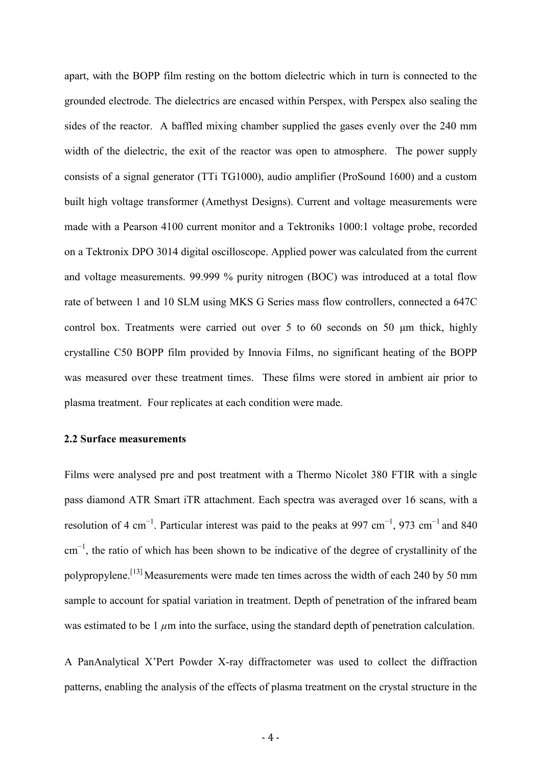apart, with the BOPP film resting on the bottom dielectric which in turn is connected to the grounded electrode. The dielectrics are encased within Perspex, with Perspex also sealing the sides of the reactor. A baffled mixing chamber supplied the gases evenly over the 240 mm width of the dielectric, the exit of the reactor was open to atmosphere. The power supply consists of a signal generator (TTi TG1000), audio amplifier (ProSound 1600) and a custom built high voltage transformer (Amethyst Designs). Current and voltage measurements were made with a Pearson 4100 current monitor and a Tektroniks 1000:1 voltage probe, recorded on a Tektronix DPO 3014 digital oscilloscope. Applied power was calculated from the current and voltage measurements. 99.999 % purity nitrogen (BOC) was introduced at a total flow rate of between 1 and 10 SLM using MKS G Series mass flow controllers, connected a 647C control box. Treatments were carried out over 5 to 60 seconds on 50 μm thick, highly crystalline C50 BOPP film provided by Innovia Films, no significant heating of the BOPP was measured over these treatment times. These films were stored in ambient air prior to plasma treatment. Four replicates at each condition were made.

#### **2.2 Surface measurements**

Films were analysed pre and post treatment with a Thermo Nicolet 380 FTIR with a single pass diamond ATR Smart iTR attachment. Each spectra was averaged over 16 scans, with a resolution of 4 cm<sup>-1</sup>. Particular interest was paid to the peaks at 997 cm<sup>-1</sup>, 973 cm<sup>-1</sup> and 840 cm<sup>-1</sup>, the ratio of which has been shown to be indicative of the degree of crystallinity of the polypropylene.[13] Measurements were made ten times across the width of each 240 by 50 mm sample to account for spatial variation in treatment. Depth of penetration of the infrared beam was estimated to be 1  $\mu$ m into the surface, using the standard depth of penetration calculation.

A PanAnalytical X'Pert Powder X-ray diffractometer was used to collect the diffraction patterns, enabling the analysis of the effects of plasma treatment on the crystal structure in the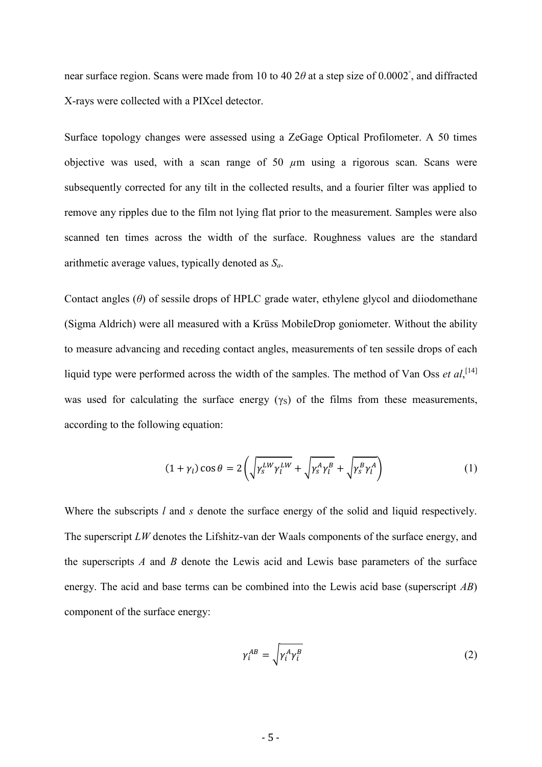near surface region. Scans were made from 10 to 40 2*θ* at a step size of 0.0002◦ , and diffracted X-rays were collected with a PIXcel detector.

Surface topology changes were assessed using a ZeGage Optical Profilometer. A 50 times objective was used, with a scan range of 50  $\mu$ m using a rigorous scan. Scans were subsequently corrected for any tilt in the collected results, and a fourier filter was applied to remove any ripples due to the film not lying flat prior to the measurement. Samples were also scanned ten times across the width of the surface. Roughness values are the standard arithmetic average values, typically denoted as *Sa*.

Contact angles (*θ*) of sessile drops of HPLC grade water, ethylene glycol and diiodomethane (Sigma Aldrich) were all measured with a Krüss MobileDrop goniometer. Without the ability to measure advancing and receding contact angles, measurements of ten sessile drops of each liquid type were performed across the width of the samples. The method of Van Oss *et al*,<sup>[14]</sup> was used for calculating the surface energy  $(\gamma_s)$  of the films from these measurements, according to the following equation:

$$
(1 + \gamma_l) \cos \theta = 2 \left( \sqrt{\gamma_s^{LW} \gamma_l^{LW}} + \sqrt{\gamma_s^A \gamma_l^B} + \sqrt{\gamma_s^B \gamma_l^A} \right) \tag{1}
$$

Where the subscripts *l* and *s* denote the surface energy of the solid and liquid respectively. The superscript *LW* denotes the Lifshitz-van der Waals components of the surface energy, and the superscripts *A* and *B* denote the Lewis acid and Lewis base parameters of the surface energy. The acid and base terms can be combined into the Lewis acid base (superscript *AB*) component of the surface energy:

$$
\gamma_i^{AB} = \sqrt{\gamma_i^A \gamma_i^B} \tag{2}
$$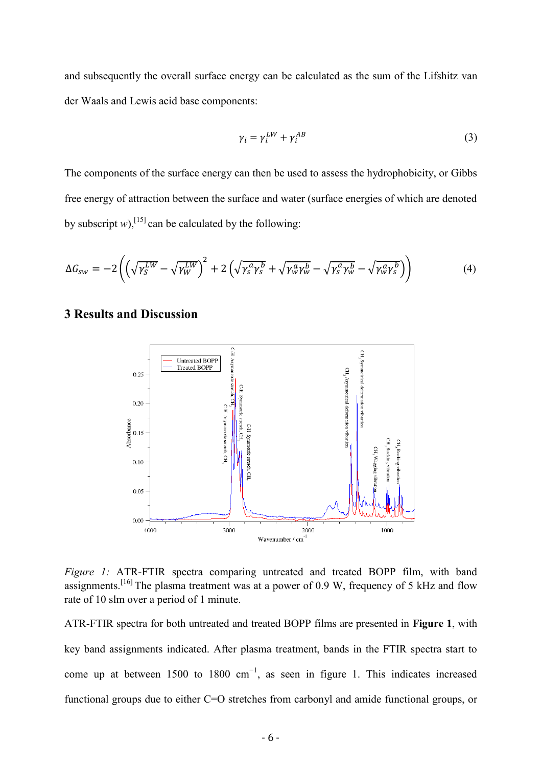and subsequently the overall surface energy can be calculated as the sum of the Lifshitz van der Waals and Lewis acid base components:

$$
\gamma_i = \gamma_i^{LW} + \gamma_i^{AB} \tag{3}
$$

The components of the surface energy can then be used to assess the hydrophobicity, or Gibbs free energy of attraction between the surface and water (surface energies of which are denoted by subscript  $w$ ),<sup>[15]</sup> can be calculated by the following:

$$
\Delta G_{sw} = -2\left(\left(\sqrt{\gamma_S^{LW}} - \sqrt{\gamma_W^{LW}}\right)^2 + 2\left(\sqrt{\gamma_S^a \gamma_S^b} + \sqrt{\gamma_W^a \gamma_W^b} - \sqrt{\gamma_S^a \gamma_W^b} - \sqrt{\gamma_W^a \gamma_S^b}\right)\right) \tag{4}
$$

## **3 Results and Discussion**



*Figure 1:* ATR-FTIR spectra comparing untreated and treated BOPP film, with band assignments.<sup>[16]</sup> The plasma treatment was at a power of 0.9 W, frequency of 5 kHz and flow rate of 10 slm over a period of 1 minute.

ATR-FTIR spectra for both untreated and treated BOPP films are presented in **Figure 1**, with key band assignments indicated. After plasma treatment, bands in the FTIR spectra start to come up at between 1500 to 1800  $cm^{-1}$ , as seen in figure 1. This indicates increased functional groups due to either C=O stretches from carbonyl and amide functional groups, or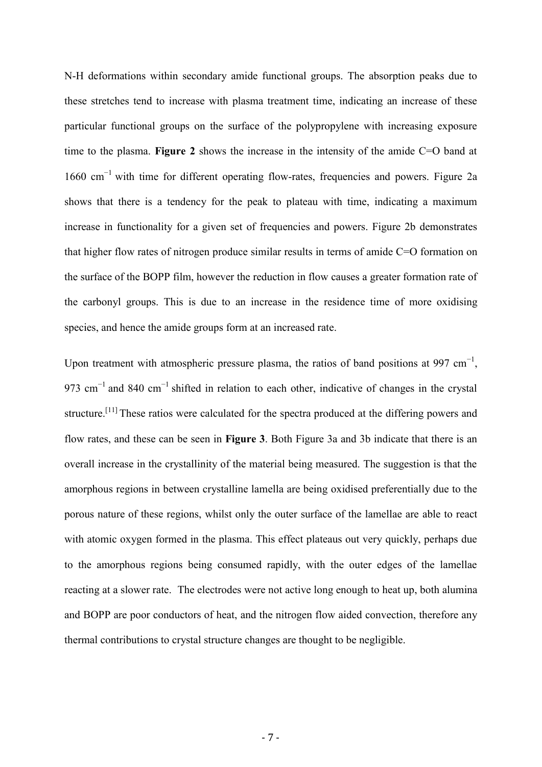N-H deformations within secondary amide functional groups. The absorption peaks due to these stretches tend to increase with plasma treatment time, indicating an increase of these particular functional groups on the surface of the polypropylene with increasing exposure time to the plasma. **Figure 2** shows the increase in the intensity of the amide C=O band at 1660 cm<sup>-1</sup> with time for different operating flow-rates, frequencies and powers. Figure 2a shows that there is a tendency for the peak to plateau with time, indicating a maximum increase in functionality for a given set of frequencies and powers. Figure 2b demonstrates that higher flow rates of nitrogen produce similar results in terms of amide  $C=O$  formation on the surface of the BOPP film, however the reduction in flow causes a greater formation rate of the carbonyl groups. This is due to an increase in the residence time of more oxidising species, and hence the amide groups form at an increased rate.

Upon treatment with atmospheric pressure plasma, the ratios of band positions at 997 cm<sup>-1</sup>, 973 cm<sup>-1</sup> and 840 cm<sup>-1</sup> shifted in relation to each other, indicative of changes in the crystal structure.[11] These ratios were calculated for the spectra produced at the differing powers and flow rates, and these can be seen in **Figure 3**. Both Figure 3a and 3b indicate that there is an overall increase in the crystallinity of the material being measured. The suggestion is that the amorphous regions in between crystalline lamella are being oxidised preferentially due to the porous nature of these regions, whilst only the outer surface of the lamellae are able to react with atomic oxygen formed in the plasma. This effect plateaus out very quickly, perhaps due to the amorphous regions being consumed rapidly, with the outer edges of the lamellae reacting at a slower rate. The electrodes were not active long enough to heat up, both alumina and BOPP are poor conductors of heat, and the nitrogen flow aided convection, therefore any thermal contributions to crystal structure changes are thought to be negligible.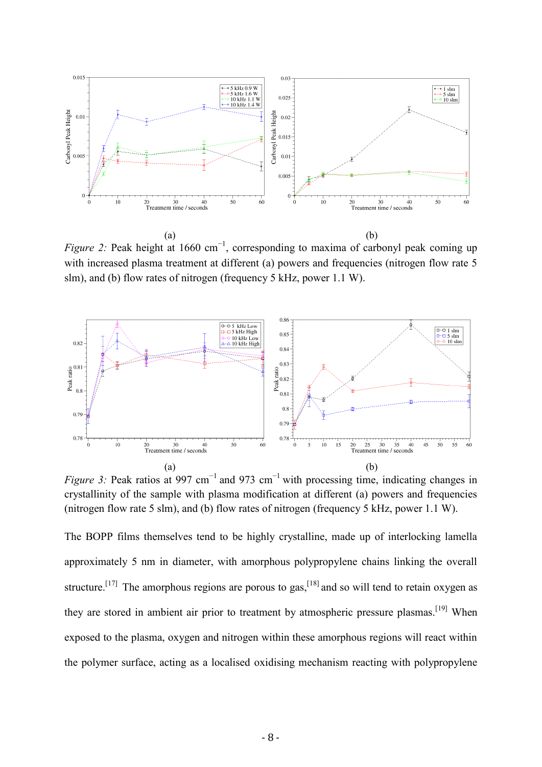![](_page_7_Figure_0.jpeg)

*Figure 2:* Peak height at 1660 cm<sup>-1</sup>, corresponding to maxima of carbonyl peak coming up with increased plasma treatment at different (a) powers and frequencies (nitrogen flow rate 5 slm), and (b) flow rates of nitrogen (frequency 5 kHz, power 1.1 W).

![](_page_7_Figure_2.jpeg)

*Figure 3:* Peak ratios at 997 cm<sup>-1</sup> and 973 cm<sup>-1</sup> with processing time, indicating changes in crystallinity of the sample with plasma modification at different (a) powers and frequencies (nitrogen flow rate 5 slm), and (b) flow rates of nitrogen (frequency 5 kHz, power 1.1 W).

The BOPP films themselves tend to be highly crystalline, made up of interlocking lamella approximately 5 nm in diameter, with amorphous polypropylene chains linking the overall structure.<sup>[17]</sup> The amorphous regions are porous to gas,<sup>[18]</sup> and so will tend to retain oxygen as they are stored in ambient air prior to treatment by atmospheric pressure plasmas.<sup>[19]</sup> When exposed to the plasma, oxygen and nitrogen within these amorphous regions will react within the polymer surface, acting as a localised oxidising mechanism reacting with polypropylene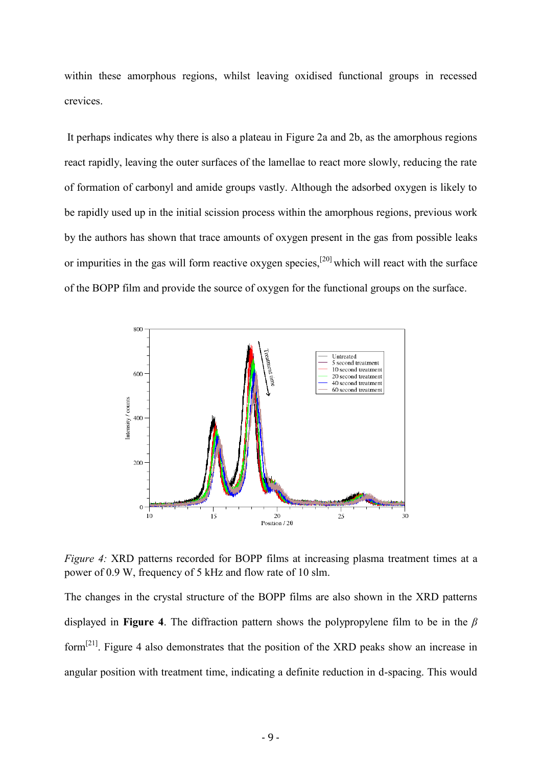within these amorphous regions, whilst leaving oxidised functional groups in recessed crevices.

It perhaps indicates why there is also a plateau in Figure 2a and 2b, as the amorphous regions react rapidly, leaving the outer surfaces of the lamellae to react more slowly, reducing the rate of formation of carbonyl and amide groups vastly. Although the adsorbed oxygen is likely to be rapidly used up in the initial scission process within the amorphous regions, previous work by the authors has shown that trace amounts of oxygen present in the gas from possible leaks or impurities in the gas will form reactive oxygen species,<sup>[20]</sup> which will react with the surface of the BOPP film and provide the source of oxygen for the functional groups on the surface.

![](_page_8_Figure_2.jpeg)

*Figure 4:* XRD patterns recorded for BOPP films at increasing plasma treatment times at a power of 0.9 W, frequency of 5 kHz and flow rate of 10 slm.

The changes in the crystal structure of the BOPP films are also shown in the XRD patterns displayed in **Figure 4**. The diffraction pattern shows the polypropylene film to be in the *β*  form<sup>[21]</sup>. Figure 4 also demonstrates that the position of the XRD peaks show an increase in angular position with treatment time, indicating a definite reduction in d-spacing. This would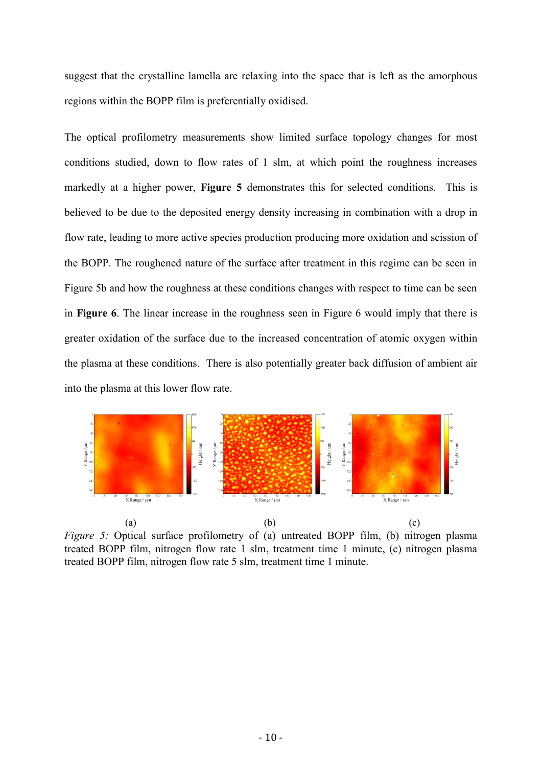suggest that the crystalline lamella are relaxing into the space that is left as the amorphous regions within the BOPP film is preferentially oxidised.

The optical profilometry measurements show limited surface topology changes for most conditions studied, down to flow rates of 1 slm, at which point the roughness increases markedly at a higher power, **Figure 5** demonstrates this for selected conditions. This is believed to be due to the deposited energy density increasing in combination with a drop in flow rate, leading to more active species production producing more oxidation and scission of the BOPP. The roughened nature of the surface after treatment in this regime can be seen in Figure 5b and how the roughness at these conditions changes with respect to time can be seen in **Figure 6**. The linear increase in the roughness seen in Figure 6 would imply that there is greater oxidation of the surface due to the increased concentration of atomic oxygen within the plasma at these conditions. There is also potentially greater back diffusion of ambient air into the plasma at this lower flow rate.

![](_page_9_Figure_2.jpeg)

*Figure 5:* Optical surface profilometry of (a) untreated BOPP film, (b) nitrogen plasma treated BOPP film, nitrogen flow rate 1 slm, treatment time 1 minute, (c) nitrogen plasma treated BOPP film, nitrogen flow rate 5 slm, treatment time 1 minute.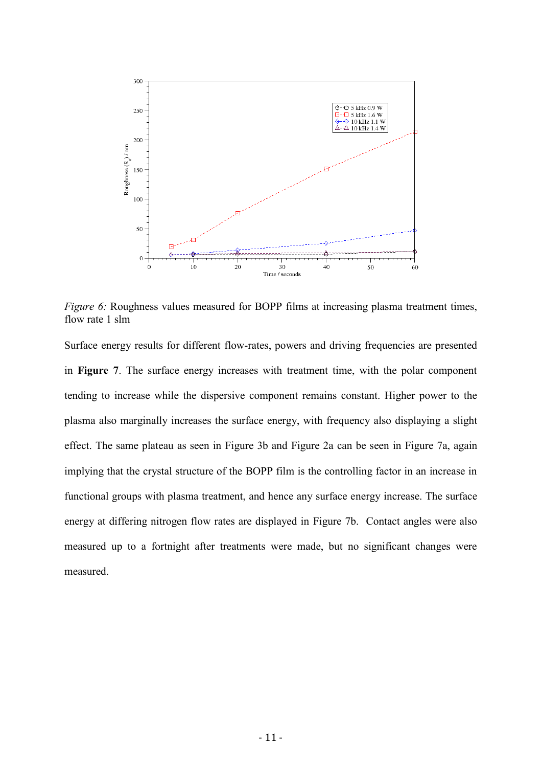![](_page_10_Figure_0.jpeg)

*Figure 6:* Roughness values measured for BOPP films at increasing plasma treatment times, flow rate 1 slm

Surface energy results for different flow-rates, powers and driving frequencies are presented in **Figure 7**. The surface energy increases with treatment time, with the polar component tending to increase while the dispersive component remains constant. Higher power to the plasma also marginally increases the surface energy, with frequency also displaying a slight effect. The same plateau as seen in Figure 3b and Figure 2a can be seen in Figure 7a, again implying that the crystal structure of the BOPP film is the controlling factor in an increase in functional groups with plasma treatment, and hence any surface energy increase. The surface energy at differing nitrogen flow rates are displayed in Figure 7b. Contact angles were also measured up to a fortnight after treatments were made, but no significant changes were measured.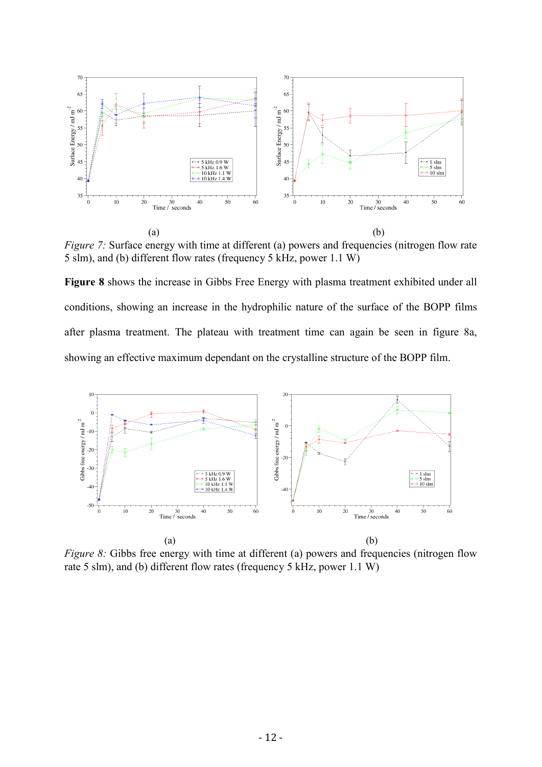![](_page_11_Figure_0.jpeg)

*Figure 7:* Surface energy with time at different (a) powers and frequencies (nitrogen flow rate 5 slm), and (b) different flow rates (frequency 5 kHz, power 1.1 W)

**Figure 8** shows the increase in Gibbs Free Energy with plasma treatment exhibited under all conditions, showing an increase in the hydrophilic nature of the surface of the BOPP films after plasma treatment. The plateau with treatment time can again be seen in figure 8a, showing an effective maximum dependant on the crystalline structure of the BOPP film.

![](_page_11_Figure_3.jpeg)

*Figure 8:* Gibbs free energy with time at different (a) powers and frequencies (nitrogen flow rate 5 slm), and (b) different flow rates (frequency 5 kHz, power 1.1 W)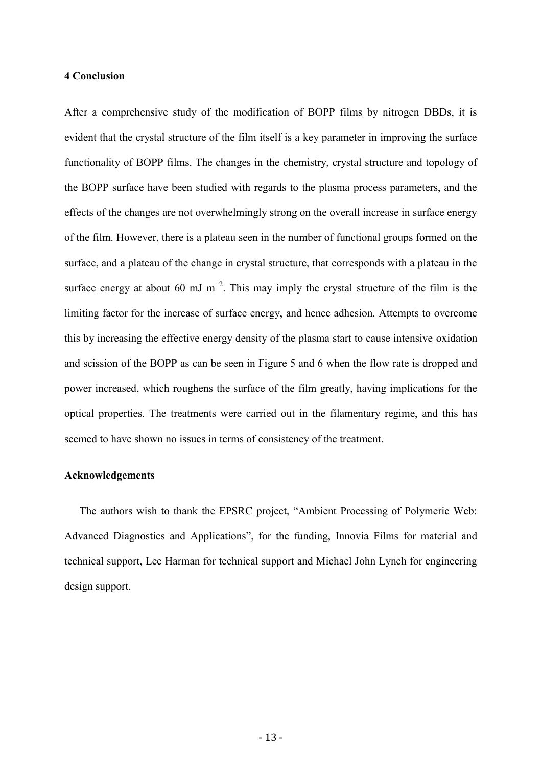#### **4 Conclusion**

After a comprehensive study of the modification of BOPP films by nitrogen DBDs, it is evident that the crystal structure of the film itself is a key parameter in improving the surface functionality of BOPP films. The changes in the chemistry, crystal structure and topology of the BOPP surface have been studied with regards to the plasma process parameters, and the effects of the changes are not overwhelmingly strong on the overall increase in surface energy of the film. However, there is a plateau seen in the number of functional groups formed on the surface, and a plateau of the change in crystal structure, that corresponds with a plateau in the surface energy at about 60 mJ m<sup>-2</sup>. This may imply the crystal structure of the film is the limiting factor for the increase of surface energy, and hence adhesion. Attempts to overcome this by increasing the effective energy density of the plasma start to cause intensive oxidation and scission of the BOPP as can be seen in Figure 5 and 6 when the flow rate is dropped and power increased, which roughens the surface of the film greatly, having implications for the optical properties. The treatments were carried out in the filamentary regime, and this has seemed to have shown no issues in terms of consistency of the treatment.

#### **Acknowledgements**

The authors wish to thank the EPSRC project, "Ambient Processing of Polymeric Web: Advanced Diagnostics and Applications", for the funding, Innovia Films for material and technical support, Lee Harman for technical support and Michael John Lynch for engineering design support.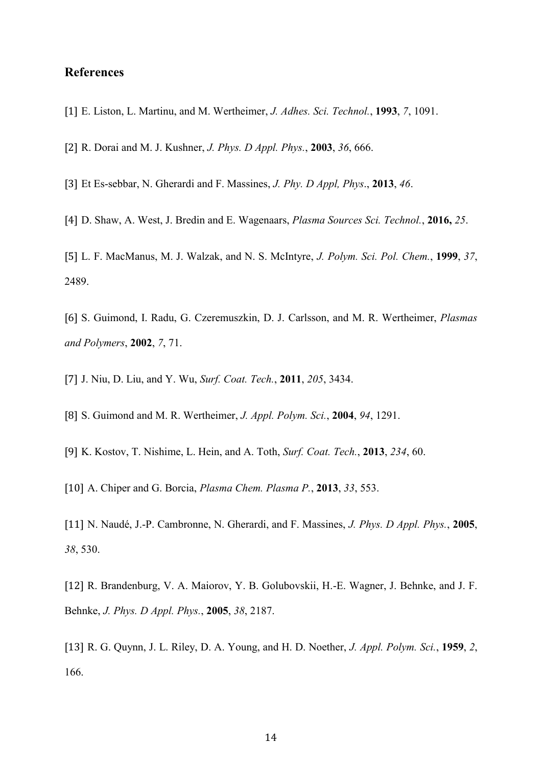## **References**

- [1] E. Liston, L. Martinu, and M. Wertheimer, *J. Adhes. Sci. Technol.*, **1993**, *7*, 1091.
- [2] R. Dorai and M. J. Kushner, *J. Phys. D Appl. Phys.*, **2003**, *36*, 666.
- [3] Et Es-sebbar, N. Gherardi and F. Massines, *J. Phy. D Appl, Phys*., **2013**, *46*.
- [4] D. Shaw, A. West, J. Bredin and E. Wagenaars, *Plasma Sources Sci. Technol.*, **2016,** *25*.

[5] L. F. MacManus, M. J. Walzak, and N. S. McIntyre, *J. Polym. Sci. Pol. Chem.*, **1999**, *37*, 2489.

[6] S. Guimond, I. Radu, G. Czeremuszkin, D. J. Carlsson, and M. R. Wertheimer, *Plasmas and Polymers*, **2002**, *7*, 71.

- [7] J. Niu, D. Liu, and Y. Wu, *Surf. Coat. Tech.*, **2011**, *205*, 3434.
- [8] S. Guimond and M. R. Wertheimer, *J. Appl. Polym. Sci.*, **2004**, *94*, 1291.
- [9] K. Kostov, T. Nishime, L. Hein, and A. Toth, *Surf. Coat. Tech.*, **2013**, *234*, 60.
- [10] A. Chiper and G. Borcia, *Plasma Chem. Plasma P.*, **2013**, *33*, 553.

[11] N. Naudé, J.-P. Cambronne, N. Gherardi, and F. Massines, *J. Phys. D Appl. Phys.*, **2005**, *38*, 530.

[12] R. Brandenburg, V. A. Maiorov, Y. B. Golubovskii, H.-E. Wagner, J. Behnke, and J. F. Behnke, *J. Phys. D Appl. Phys.*, **2005**, *38*, 2187.

[13] R. G. Quynn, J. L. Riley, D. A. Young, and H. D. Noether, *J. Appl. Polym. Sci.*, **1959**, *2*, 166.